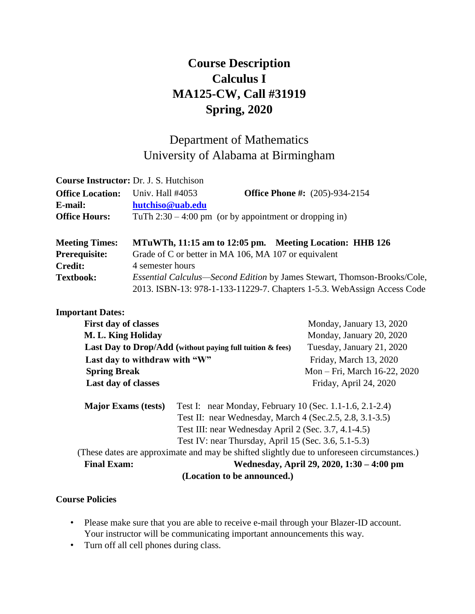# **Course Description Calculus I MA125-CW, Call #31919 Spring, 2020**

## Department of Mathematics University of Alabama at Birmingham

|                         | <b>Course Instructor:</b> Dr. J. S. Hutchison                                   |  |  |  |
|-------------------------|---------------------------------------------------------------------------------|--|--|--|
| <b>Office Location:</b> | <b>Office Phone #:</b> (205)-934-2154<br>Univ. Hall #4053                       |  |  |  |
| E-mail:                 | hutchiso@uab.edu                                                                |  |  |  |
| <b>Office Hours:</b>    | TuTh $2:30 - 4:00$ pm (or by appointment or dropping in)                        |  |  |  |
|                         |                                                                                 |  |  |  |
| <b>Meeting Times:</b>   | MTuWTh, 11:15 am to 12:05 pm. Meeting Location: HHB 126                         |  |  |  |
| <b>Prerequisite:</b>    | Grade of C or better in MA 106, MA 107 or equivalent                            |  |  |  |
| <b>Credit:</b>          | 4 semester hours                                                                |  |  |  |
| <b>Textbook:</b>        | <i>Essential Calculus—Second Edition by James Stewart, Thomson-Brooks/Cole,</i> |  |  |  |
|                         | 2013. ISBN-13: 978-1-133-11229-7. Chapters 1-5.3. WebAssign Access Code         |  |  |  |

#### **Important Dates:**

|                                                                                            | Monday, January 13, 2020                                 |  |  |  |  |
|--------------------------------------------------------------------------------------------|----------------------------------------------------------|--|--|--|--|
| M. L. King Holiday                                                                         |                                                          |  |  |  |  |
| Last Day to Drop/Add (without paying full tuition & fees)                                  |                                                          |  |  |  |  |
| Last day to withdraw with "W"                                                              |                                                          |  |  |  |  |
| <b>Spring Break</b>                                                                        |                                                          |  |  |  |  |
| Last day of classes                                                                        |                                                          |  |  |  |  |
|                                                                                            | Test I: near Monday, February 10 (Sec. 1.1-1.6, 2.1-2.4) |  |  |  |  |
| Test II: near Wednesday, March 4 (Sec. 2.5, 2.8, 3.1-3.5)                                  |                                                          |  |  |  |  |
| Test III: near Wednesday April 2 (Sec. 3.7, 4.1-4.5)                                       |                                                          |  |  |  |  |
| Test IV: near Thursday, April 15 (Sec. 3.6, 5.1-5.3)                                       |                                                          |  |  |  |  |
| (These dates are approximate and may be shifted slightly due to unforeseen circumstances.) |                                                          |  |  |  |  |
| Wednesday, April 29, 2020, 1:30 - 4:00 pm<br><b>Final Exam:</b>                            |                                                          |  |  |  |  |
|                                                                                            |                                                          |  |  |  |  |

#### **(Location to be announced.)**

#### **Course Policies**

- Please make sure that you are able to receive e-mail through your Blazer-ID account. Your instructor will be communicating important announcements this way.
- Turn off all cell phones during class.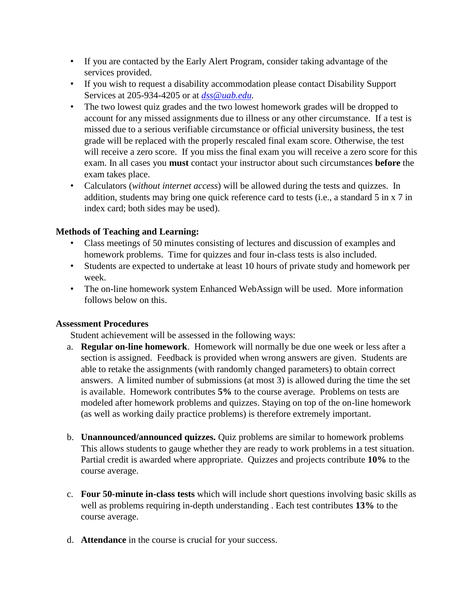- If you are contacted by the Early Alert Program, consider taking advantage of the services provided.
- If you wish to request a disability accommodation please contact Disability Support Services at 205-934-4205 or at *dss@uab.edu.*
- The two lowest quiz grades and the two lowest homework grades will be dropped to account for any missed assignments due to illness or any other circumstance. If a test is missed due to a serious verifiable circumstance or official university business, the test grade will be replaced with the properly rescaled final exam score. Otherwise, the test will receive a zero score. If you miss the final exam you will receive a zero score for this exam. In all cases you **must** contact your instructor about such circumstances **before** the exam takes place.
- Calculators (*without internet access*) will be allowed during the tests and quizzes. In addition, students may bring one quick reference card to tests (i.e., a standard 5 in x 7 in index card; both sides may be used).

### **Methods of Teaching and Learning:**

- Class meetings of 50 minutes consisting of lectures and discussion of examples and homework problems. Time for quizzes and four in-class tests is also included.
- Students are expected to undertake at least 10 hours of private study and homework per week.
- The on-line homework system Enhanced WebAssign will be used. More information follows below on this.

#### **Assessment Procedures**

Student achievement will be assessed in the following ways:

- a. **Regular on-line homework**. Homework will normally be due one week or less after a section is assigned. Feedback is provided when wrong answers are given. Students are able to retake the assignments (with randomly changed parameters) to obtain correct answers. A limited number of submissions (at most 3) is allowed during the time the set is available. Homework contributes **5%** to the course average. Problems on tests are modeled after homework problems and quizzes. Staying on top of the on-line homework (as well as working daily practice problems) is therefore extremely important.
- b. **Unannounced/announced quizzes.** Quiz problems are similar to homework problems This allows students to gauge whether they are ready to work problems in a test situation. Partial credit is awarded where appropriate. Quizzes and projects contribute **10%** to the course average.
- c. **Four 50-minute in-class tests** which will include short questions involving basic skills as well as problems requiring in-depth understanding . Each test contributes **13%** to the course average.
- d. **Attendance** in the course is crucial for your success.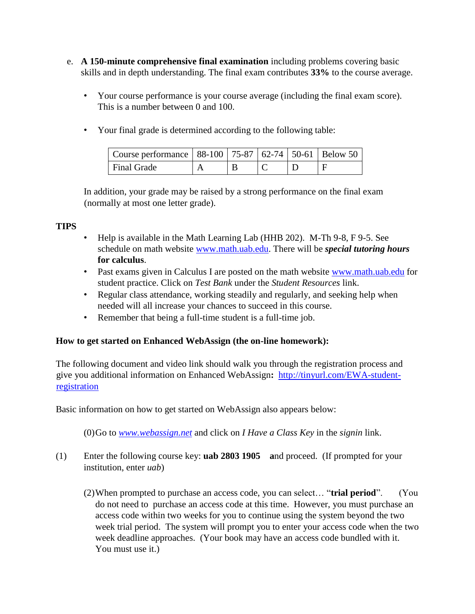- e. **A 150-minute comprehensive final examination** including problems covering basic skills and in depth understanding. The final exam contributes **33%** to the course average.
	- Your course performance is your course average (including the final exam score). This is a number between 0 and 100.
	- Your final grade is determined according to the following table:

| Course performance   88-100   75-87   62-74   50-61   Below 50 |  |  |  |
|----------------------------------------------------------------|--|--|--|
| Final Grade                                                    |  |  |  |

In addition, your grade may be raised by a strong performance on the final exam (normally at most one letter grade).

#### **TIPS**

- Help is available in the Math Learning Lab (HHB 202). M-Th 9-8, F 9-5. See schedule on math website [www.math.uab.edu.](http://www.math.uab.edu/) [T](http://www.math.uab.edu/)here will be *special tutoring hours* **for calculus**.
- Past exams given in Calculus I are posted on the math website [www.math.uab.edu](http://www.math.uab.edu/) [fo](http://www.math.uab.edu/)r student practice. Click on *Test Bank* under the *Student Resources* link.
- Regular class attendance, working steadily and regularly, and seeking help when needed will all increase your chances to succeed in this course.
- Remember that being a full-time student is a full-time job.

#### **How to get started on Enhanced WebAssign (the on-line homework):**

The following document and video link should walk you through the registration process and give you additional information on Enhanced WebAssign**:** [http://tinyurl.com/EWA-student](http://tinyurl.com/EWA-student-registration)[registration](http://tinyurl.com/EWA-student-registration) 

Basic information on how to get started on WebAssign also appears below:

(0)Go to *[www.webassign.net](http://www.webassign.net/)* [an](http://www.webassign.net/)d click on *I Have a Class Key* in the *signin* link.

- (1) Enter the following course key: **uab 2803 1905 a**nd proceed. (If prompted for your institution, enter *uab*)
	- (2)When prompted to purchase an access code, you can select… "**trial period**". (You do not need to purchase an access code at this time. However, you must purchase an access code within two weeks for you to continue using the system beyond the two week trial period. The system will prompt you to enter your access code when the two week deadline approaches. (Your book may have an access code bundled with it. You must use it.)